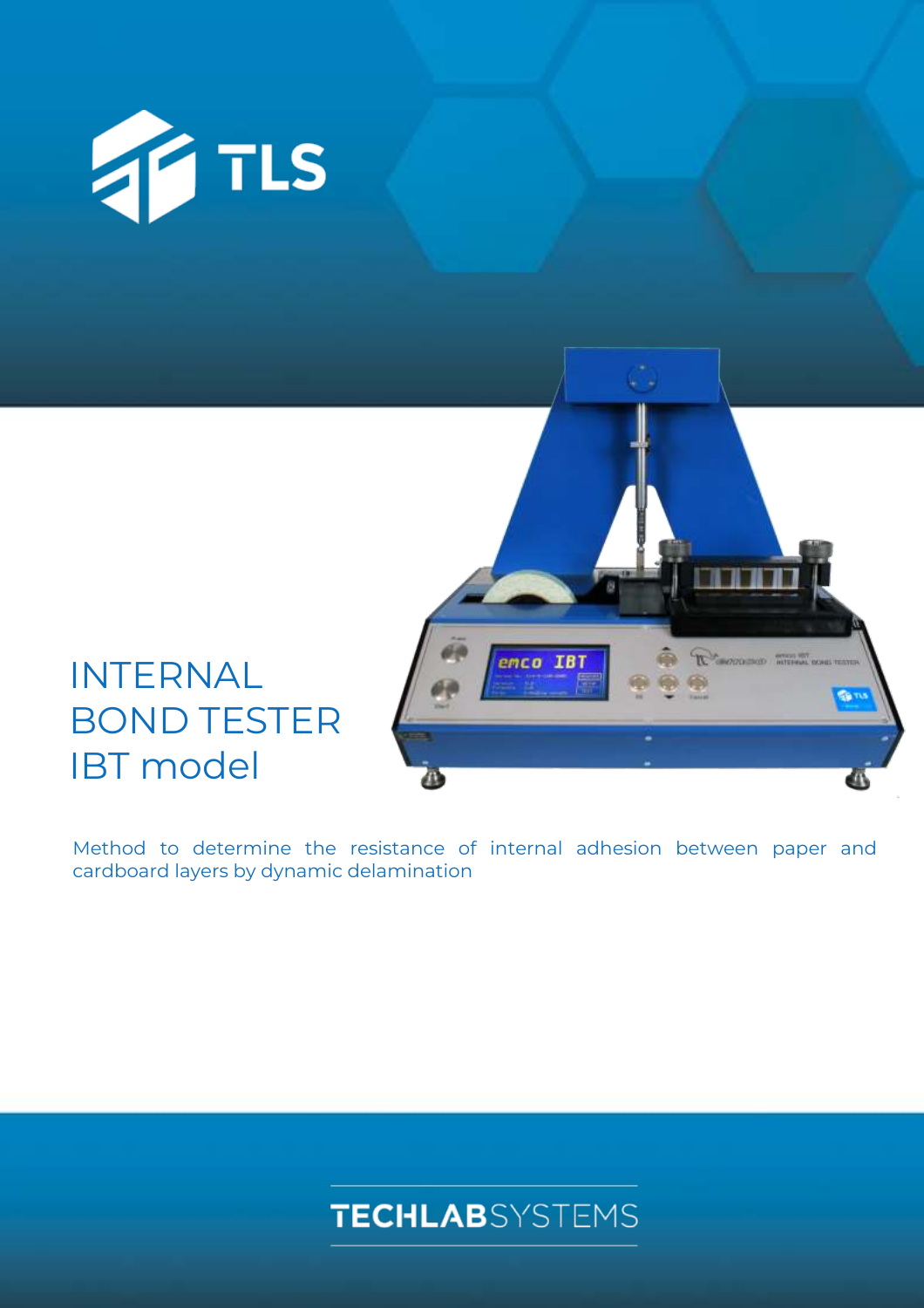



# INTERNAL BOND TESTER IBT model

Method to determine the resistance of internal adhesion between paper and cardboard layers by dynamic delamination

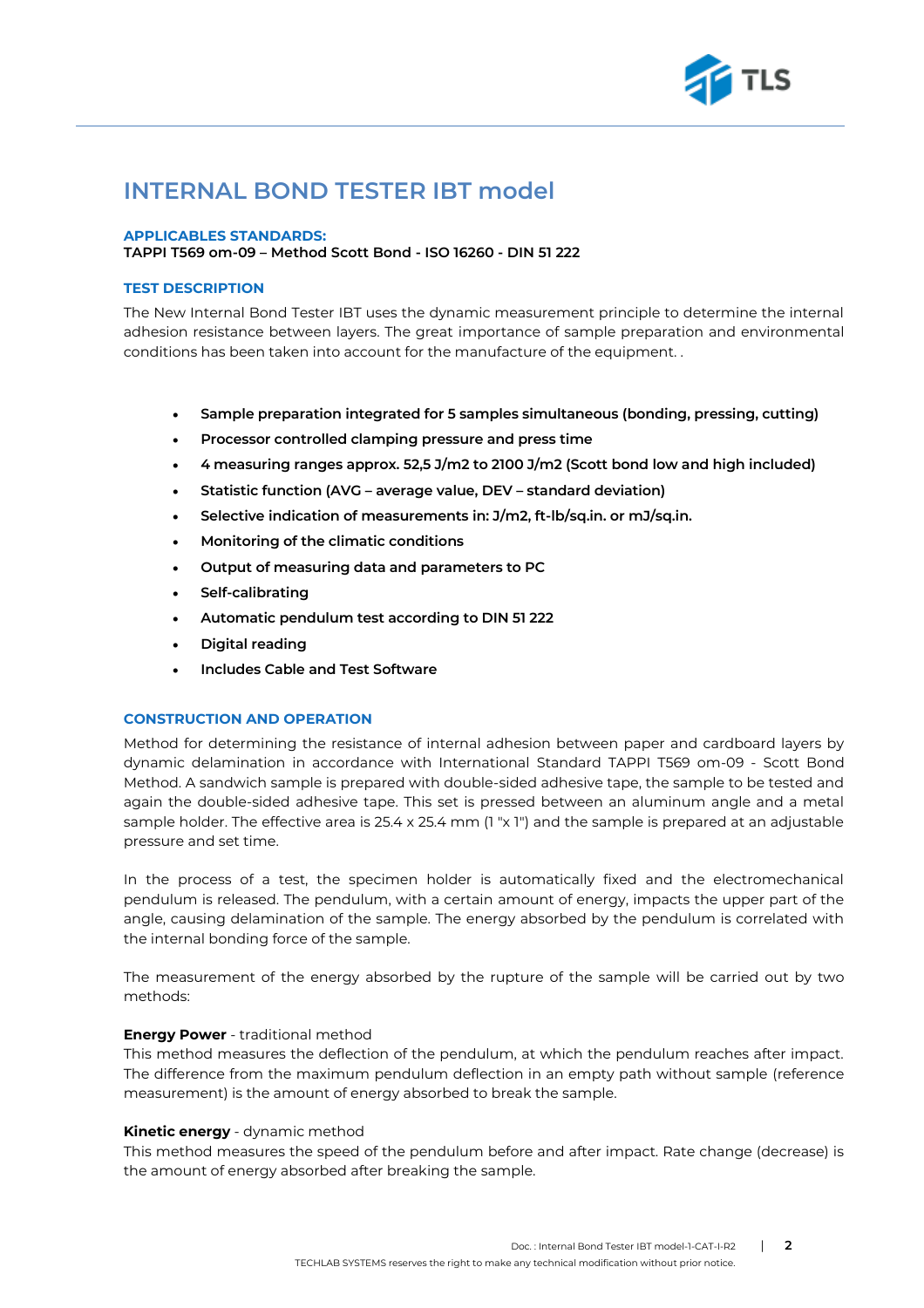

## **INTERNAL BOND TESTER IBT model**

#### **APPLICABLES STANDARDS:**

**TAPPI T569 om-09 – Method Scott Bond - ISO 16260 - DIN 51 222**

### **TEST DESCRIPTION**

The New Internal Bond Tester IBT uses the dynamic measurement principle to determine the internal adhesion resistance between layers. The great importance of sample preparation and environmental conditions has been taken into account for the manufacture of the equipment. .

- **Sample preparation integrated for 5 samples simultaneous (bonding, pressing, cutting)**
- **Processor controlled clamping pressure and press time**
- **4 measuring ranges approx. 52,5 J/m2 to 2100 J/m2 (Scott bond low and high included)**
- **Statistic function (AVG – average value, DEV – standard deviation)**
- **Selective indication of measurements in: J/m2, ft-lb/sq.in. or mJ/sq.in.**
- **Monitoring of the climatic conditions**
- **Output of measuring data and parameters to PC**
- **Self-calibrating**
- **Automatic pendulum test according to DIN 51 222**
- **Digital reading**
- **Includes Cable and Test Software**

#### **CONSTRUCTION AND OPERATION**

Method for determining the resistance of internal adhesion between paper and cardboard layers by dynamic delamination in accordance with International Standard TAPPI T569 om-09 - Scott Bond Method. A sandwich sample is prepared with double-sided adhesive tape, the sample to be tested and again the double-sided adhesive tape. This set is pressed between an aluminum angle and a metal sample holder. The effective area is 25.4 x 25.4 mm (1 "x 1") and the sample is prepared at an adjustable pressure and set time.

In the process of a test, the specimen holder is automatically fixed and the electromechanical pendulum is released. The pendulum, with a certain amount of energy, impacts the upper part of the angle, causing delamination of the sample. The energy absorbed by the pendulum is correlated with the internal bonding force of the sample.

The measurement of the energy absorbed by the rupture of the sample will be carried out by two methods:

#### **Energy Power** - traditional method

This method measures the deflection of the pendulum, at which the pendulum reaches after impact. The difference from the maximum pendulum deflection in an empty path without sample (reference measurement) is the amount of energy absorbed to break the sample.

#### **Kinetic energy** - dynamic method

This method measures the speed of the pendulum before and after impact. Rate change (decrease) is the amount of energy absorbed after breaking the sample.